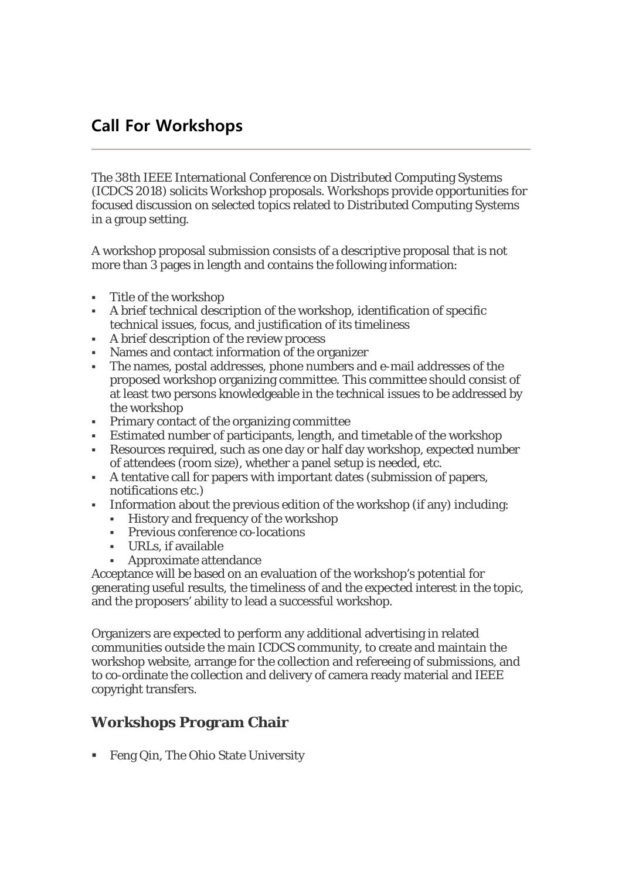## **Call For Workshops**

The 38th IEEE International Conference on Distributed Computing Systems (ICDCS 2018) solicits Workshop proposals. Workshops provide opportunities for focused discussion on selected topics related to Distributed Computing Systems in a group setting.

A workshop proposal submission consists of a descriptive proposal that is not more than 3 pages in length and contains the following information:

- Title of the workshop
- A brief technical description of the workshop, identification of specific technical issues, focus, and justification of its timeliness
- A brief description of the review process
- Names and contact information of the organizer
- The names, postal addresses, phone numbers and e-mail addresses of the proposed workshop organizing committee. This committee should consist of at least two persons knowledgeable in the technical issues to be addressed by the workshop
- Primary contact of the organizing committee
- Estimated number of participants, length, and timetable of the workshop
- Resources required, such as one day or half day workshop, expected number of attendees (room size), whether a panel setup is needed, etc.
- A tentative call for papers with important dates (submission of papers, notifications etc.)
- Information about the previous edition of the workshop (if any) including:
	- History and frequency of the workshop
	- **Previous conference co-locations**
	- URLs, if available
	- Approximate attendance

Acceptance will be based on an evaluation of the workshop's potential for generating useful results, the timeliness of and the expected interest in the topic, and the proposers' ability to lead a successful workshop.

Organizers are expected to perform any additional advertising in related communities outside the main ICDCS community, to create and maintain the workshop website, arrange for the collection and refereeing of submissions, and to co-ordinate the collection and delivery of camera ready material and IEEE copyright transfers.

## **Workshops Program Chair**

**Feng Qin, The Ohio State University**